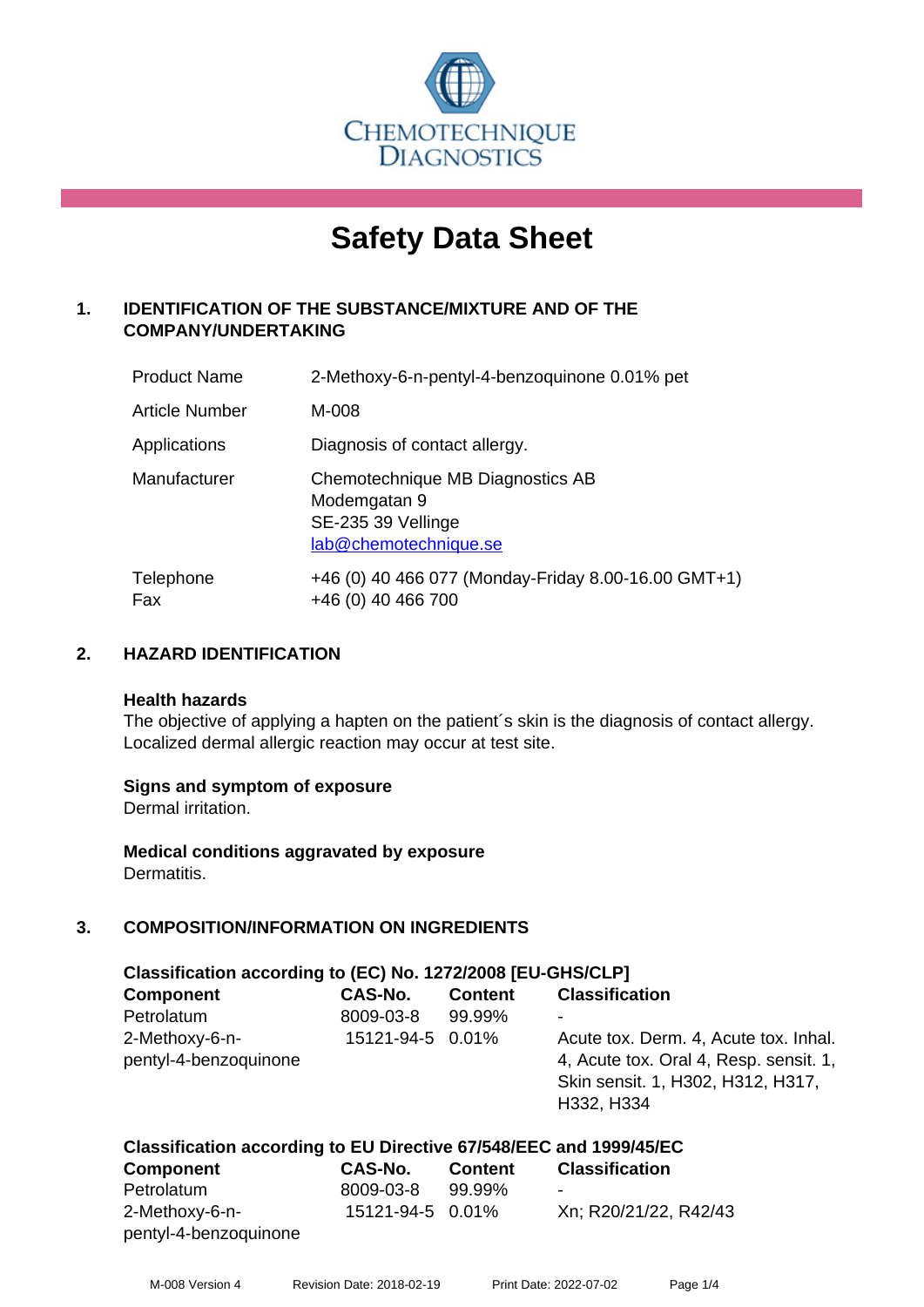

# **Safety Data Sheet**

# **1. IDENTIFICATION OF THE SUBSTANCE/MIXTURE AND OF THE COMPANY/UNDERTAKING**

| <b>Product Name</b> | 2-Methoxy-6-n-pentyl-4-benzoquinone 0.01% pet                                                   |
|---------------------|-------------------------------------------------------------------------------------------------|
| Article Number      | M-008                                                                                           |
| Applications        | Diagnosis of contact allergy.                                                                   |
| Manufacturer        | Chemotechnique MB Diagnostics AB<br>Modemgatan 9<br>SE-235 39 Vellinge<br>lab@chemotechnique.se |
| Telephone<br>Fax    | +46 (0) 40 466 077 (Monday-Friday 8.00-16.00 GMT+1)<br>+46 (0) 40 466 700                       |

# **2. HAZARD IDENTIFICATION**

#### **Health hazards**

The objective of applying a hapten on the patient's skin is the diagnosis of contact allergy. Localized dermal allergic reaction may occur at test site.

# **Signs and symptom of exposure**

Dermal irritation.

**Medical conditions aggravated by exposure** Dermatitis.

# **3. COMPOSITION/INFORMATION ON INGREDIENTS**

| Classification according to (EC) No. 1272/2008 [EU-GHS/CLP] |                  |                |                                                                                                                                    |  |  |
|-------------------------------------------------------------|------------------|----------------|------------------------------------------------------------------------------------------------------------------------------------|--|--|
| <b>Component</b>                                            | <b>CAS-No.</b>   | <b>Content</b> | <b>Classification</b>                                                                                                              |  |  |
| Petrolatum                                                  | 8009-03-8        | 99.99%         |                                                                                                                                    |  |  |
| 2-Methoxy-6-n-<br>pentyl-4-benzoquinone                     | 15121-94-5 0.01% |                | Acute tox. Derm. 4, Acute tox. Inhal.<br>4, Acute tox. Oral 4, Resp. sensit. 1,<br>Skin sensit. 1, H302, H312, H317,<br>H332, H334 |  |  |

#### **Classification according to EU Directive 67/548/EEC and 1999/45/EC Component CAS-No. Content Classification**

| Component             | GAS-NO.          | Content | Classification        |
|-----------------------|------------------|---------|-----------------------|
| Petrolatum            | 8009-03-8        | 99.99%  | -                     |
| 2-Methoxy-6-n-        | 15121-94-5 0.01% |         | Xn; R20/21/22, R42/43 |
| pentyl-4-benzoquinone |                  |         |                       |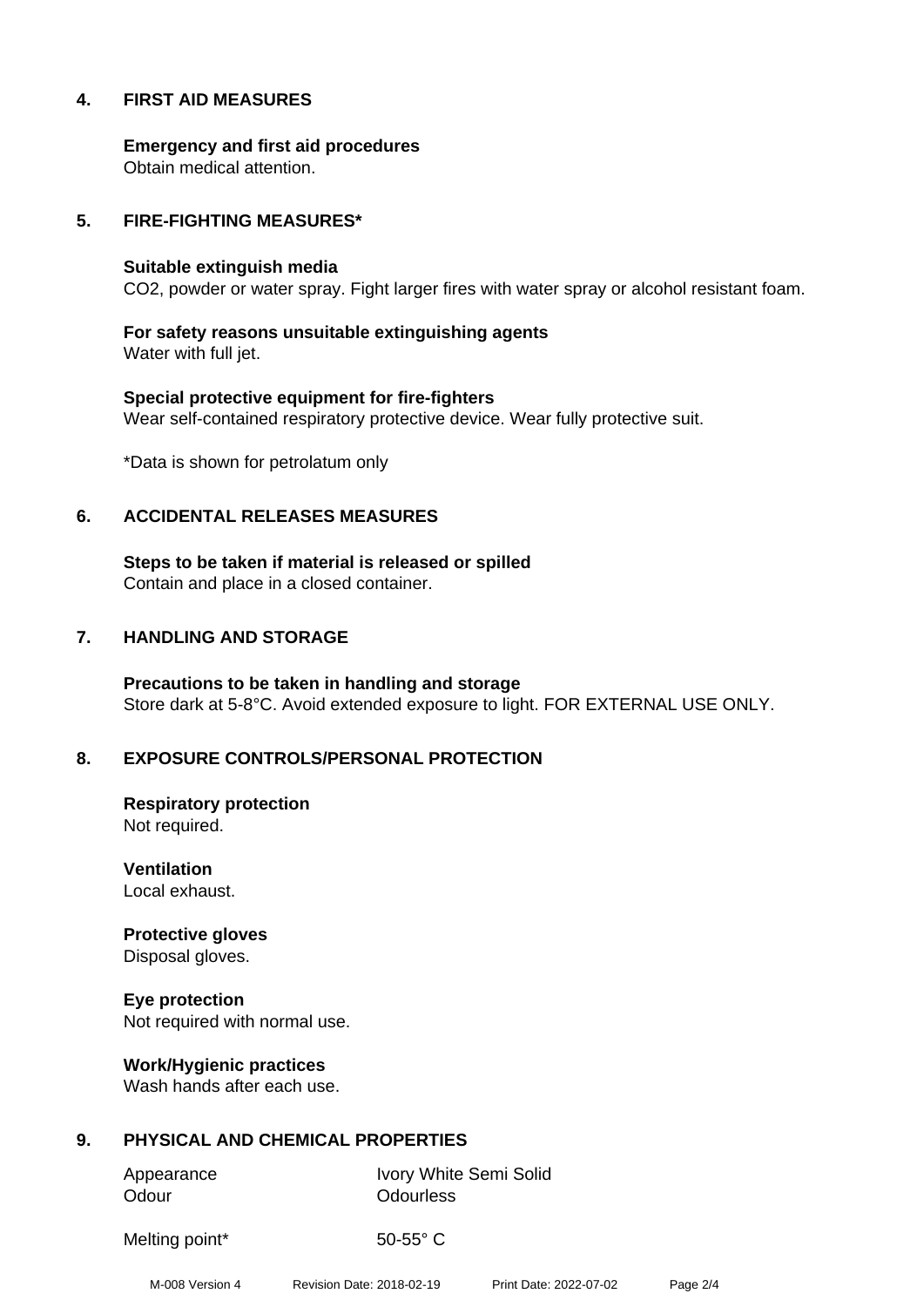# **4. FIRST AID MEASURES**

**Emergency and first aid procedures** Obtain medical attention.

#### **5. FIRE-FIGHTING MEASURES\***

#### **Suitable extinguish media**

CO2, powder or water spray. Fight larger fires with water spray or alcohol resistant foam.

**For safety reasons unsuitable extinguishing agents** Water with full jet.

**Special protective equipment for fire-fighters** Wear self-contained respiratory protective device. Wear fully protective suit.

\*Data is shown for petrolatum only

#### **6. ACCIDENTAL RELEASES MEASURES**

**Steps to be taken if material is released or spilled** Contain and place in a closed container.

#### **7. HANDLING AND STORAGE**

**Precautions to be taken in handling and storage** Store dark at 5-8°C. Avoid extended exposure to light. FOR EXTERNAL USE ONLY.

# **8. EXPOSURE CONTROLS/PERSONAL PROTECTION**

**Respiratory protection** Not required.

**Ventilation** Local exhaust.

**Protective gloves** Disposal gloves.

**Eye protection** Not required with normal use.

**Work/Hygienic practices** Wash hands after each use.

# **9. PHYSICAL AND CHEMICAL PROPERTIES**

Odour **Odourless** 

Appearance Ivory White Semi Solid

Melting point\* 50-55° C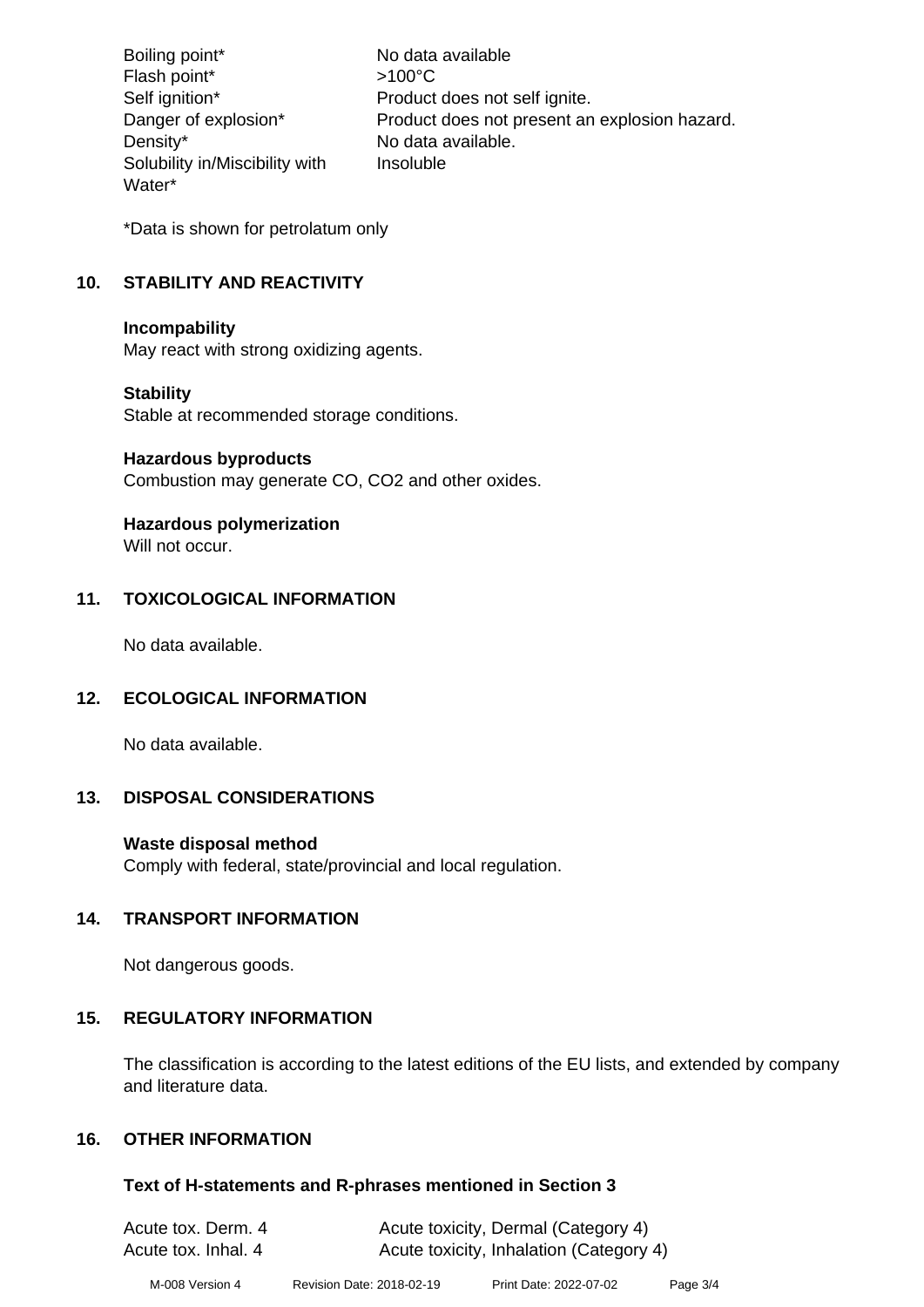Boiling point\* No data available Flash point\* >100°C Self ignition\* Product does not self ignite. Danger of explosion\* Product does not present an explosion hazard. Density\* No data available. Solubility in/Miscibility with Water\* Insoluble

\*Data is shown for petrolatum only

# **10. STABILITY AND REACTIVITY**

#### **Incompability**

May react with strong oxidizing agents.

# **Stability**

Stable at recommended storage conditions.

#### **Hazardous byproducts**

Combustion may generate CO, CO2 and other oxides.

# **Hazardous polymerization**

Will not occur.

# **11. TOXICOLOGICAL INFORMATION**

No data available.

# **12. ECOLOGICAL INFORMATION**

No data available.

# **13. DISPOSAL CONSIDERATIONS**

# **Waste disposal method**

Comply with federal, state/provincial and local regulation.

# **14. TRANSPORT INFORMATION**

Not dangerous goods.

# **15. REGULATORY INFORMATION**

The classification is according to the latest editions of the EU lists, and extended by company and literature data.

# **16. OTHER INFORMATION**

#### **Text of H-statements and R-phrases mentioned in Section 3**

| Acute tox. Derm. 4  | Acute toxicity, Dermal (Category 4)     |
|---------------------|-----------------------------------------|
| Acute tox. Inhal. 4 | Acute toxicity, Inhalation (Category 4) |